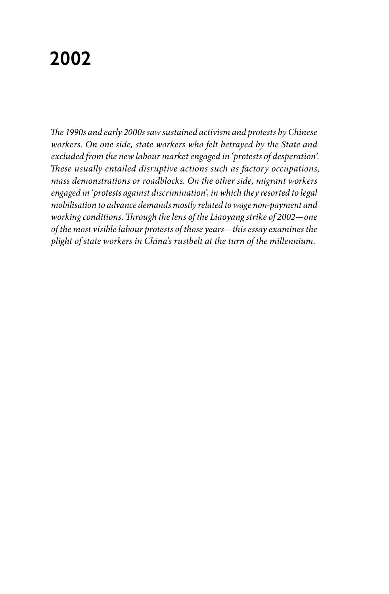# **2002**

*The 1990s and early 2000s saw sustained activism and protests by Chinese workers. On one side, state workers who felt betrayed by the State and excluded from the new labour market engaged in 'protests of desperation'. These usually entailed disruptive actions such as factory occupations, mass demonstrations or roadblocks. On the other side, migrant workers engaged in 'protests against discrimination', in which they resorted to legal mobilisation to advance demands mostly related to wage non-payment and working conditions. Through the lens of the Liaoyang strike of 2002—one of the most visible labour protests of those years—this essay examines the plight of state workers in China's rustbelt at the turn of the millennium.*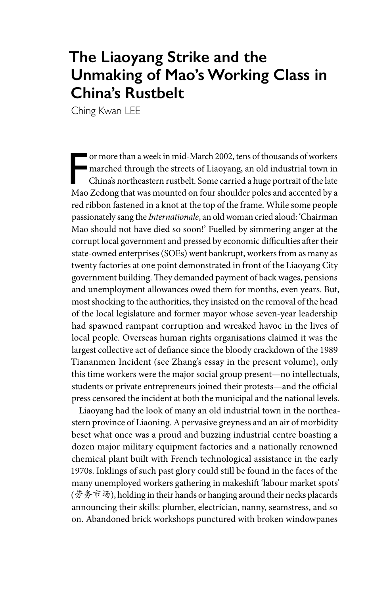## **The Liaoyang Strike and the Unmaking of Mao's Working Class in China's Rustbelt**

Ching Kwan LEE

F<br>Mac or more than a week in mid-March 2002, tens of thousands of workers marched through the streets of Liaoyang, an old industrial town in China's northeastern rustbelt. Some carried a huge portrait of the late Mao Zedong that was mounted on four shoulder poles and accented by a red ribbon fastened in a knot at the top of the frame. While some people passionately sang the *Internationale*, an old woman cried aloud: 'Chairman Mao should not have died so soon!' Fuelled by simmering anger at the corrupt local government and pressed by economic difficulties after their state-owned enterprises (SOEs) went bankrupt, workers from as many as twenty factories at one point demonstrated in front of the Liaoyang City government building. They demanded payment of back wages, pensions and unemployment allowances owed them for months, even years. But, most shocking to the authorities, they insisted on the removal of the head of the local legislature and former mayor whose seven-year leadership had spawned rampant corruption and wreaked havoc in the lives of local people. Overseas human rights organisations claimed it was the largest collective act of defiance since the bloody crackdown of the 1989 Tiananmen Incident (see Zhang's essay in the present volume), only this time workers were the major social group present—no intellectuals, students or private entrepreneurs joined their protests—and the official press censored the incident at both the municipal and the national levels.

Liaoyang had the look of many an old industrial town in the northeastern province of Liaoning. A pervasive greyness and an air of morbidity beset what once was a proud and buzzing industrial centre boasting a dozen major military equipment factories and a nationally renowned chemical plant built with French technological assistance in the early 1970s. Inklings of such past glory could still be found in the faces of the many unemployed workers gathering in makeshift 'labour market spots' (劳务市场), holding in their hands or hanging around their necks placards announcing their skills: plumber, electrician, nanny, seamstress, and so on. Abandoned brick workshops punctured with broken windowpanes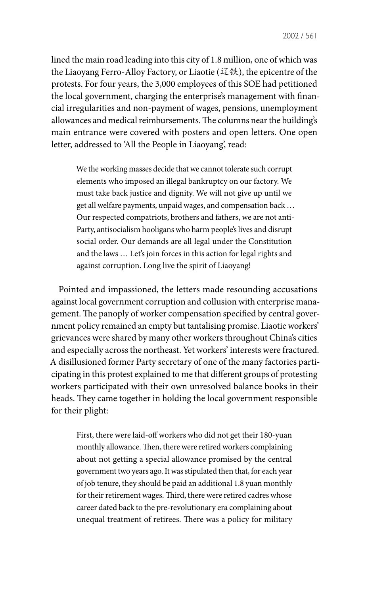lined the main road leading into this city of 1.8 million, one of which was the Liaoyang Ferro-Alloy Factory, or Liaotie (辽铁), the epicentre of the protests. For four years, the 3,000 employees of this SOE had petitioned the local government, charging the enterprise's management with financial irregularities and non-payment of wages, pensions, unemployment allowances and medical reimbursements. The columns near the building's main entrance were covered with posters and open letters. One open letter, addressed to 'All the People in Liaoyang', read:

We the working masses decide that we cannot tolerate such corrupt elements who imposed an illegal bankruptcy on our factory. We must take back justice and dignity. We will not give up until we get all welfare payments, unpaid wages, and compensation back … Our respected compatriots, brothers and fathers, we are not anti-Party, antisocialism hooligans who harm people's lives and disrupt social order. Our demands are all legal under the Constitution and the laws … Let's join forces in this action for legal rights and against corruption. Long live the spirit of Liaoyang!

Pointed and impassioned, the letters made resounding accusations against local government corruption and collusion with enterprise management. The panoply of worker compensation specified by central government policy remained an empty but tantalising promise. Liaotie workers' grievances were shared by many other workers throughout China's cities and especially across the northeast. Yet workers' interests were fractured. A disillusioned former Party secretary of one of the many factories participating in this protest explained to me that different groups of protesting workers participated with their own unresolved balance books in their heads. They came together in holding the local government responsible for their plight:

First, there were laid-off workers who did not get their 180-yuan monthly allowance. Then, there were retired workers complaining about not getting a special allowance promised by the central government two years ago. It was stipulated then that, for each year of job tenure, they should be paid an additional 1.8 yuan monthly for their retirement wages. Third, there were retired cadres whose career dated back to the pre-revolutionary era complaining about unequal treatment of retirees. There was a policy for military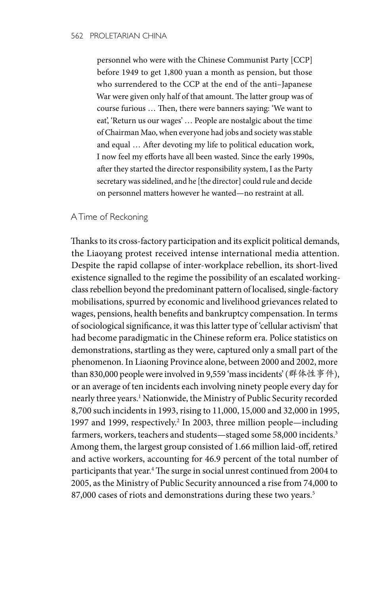personnel who were with the Chinese Communist Party [CCP] before 1949 to get 1,800 yuan a month as pension, but those who surrendered to the CCP at the end of the anti–Japanese War were given only half of that amount. The latter group was of course furious … Then, there were banners saying: 'We want to eat', 'Return us our wages' … People are nostalgic about the time of Chairman Mao, when everyone had jobs and society was stable and equal … After devoting my life to political education work, I now feel my efforts have all been wasted. Since the early 1990s, after they started the director responsibility system, I as the Party secretary was sidelined, and he [the director] could rule and decide on personnel matters however he wanted—no restraint at all.

#### A Time of Reckoning

Thanks to its cross-factory participation and its explicit political demands, the Liaoyang protest received intense international media attention. Despite the rapid collapse of inter-workplace rebellion, its short-lived existence signalled to the regime the possibility of an escalated workingclass rebellion beyond the predominant pattern of localised, single-factory mobilisations, spurred by economic and livelihood grievances related to wages, pensions, health benefits and bankruptcy compensation. In terms of sociological significance, it was this latter type of 'cellular activism' that had become paradigmatic in the Chinese reform era. Police statistics on demonstrations, startling as they were, captured only a small part of the phenomenon. In Liaoning Province alone, between 2000 and 2002, more than 830,000 people were involved in 9,559 'mass incidents' (群体性事件), or an average of ten incidents each involving ninety people every day for nearly three years.<sup>1</sup> Nationwide, the Ministry of Public Security recorded 8,700 such incidents in 1993, rising to 11,000, 15,000 and 32,000 in 1995, 1997 and 1999, respectively.<sup>2</sup> In 2003, three million people—including farmers, workers, teachers and students—staged some 58,000 incidents.<sup>3</sup> Among them, the largest group consisted of 1.66 million laid-off, retired and active workers, accounting for 46.9 percent of the total number of participants that year.4 The surge in social unrest continued from 2004 to 2005, as the Ministry of Public Security announced a rise from 74,000 to 87,000 cases of riots and demonstrations during these two years.<sup>5</sup>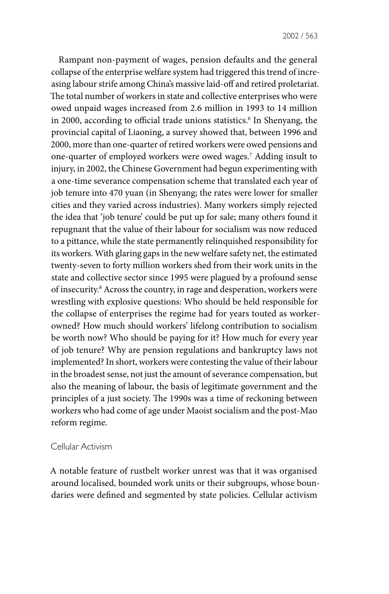Rampant non-payment of wages, pension defaults and the general collapse of the enterprise welfare system had triggered this trend of increasing labour strife among China's massive laid-off and retired proletariat. The total number of workers in state and collective enterprises who were owed unpaid wages increased from 2.6 million in 1993 to 14 million in 2000, according to official trade unions statistics.<sup>6</sup> In Shenyang, the provincial capital of Liaoning, a survey showed that, between 1996 and 2000, more than one-quarter of retired workers were owed pensions and one-quarter of employed workers were owed wages.7 Adding insult to injury, in 2002, the Chinese Government had begun experimenting with a one-time severance compensation scheme that translated each year of job tenure into 470 yuan (in Shenyang; the rates were lower for smaller cities and they varied across industries). Many workers simply rejected the idea that 'job tenure' could be put up for sale; many others found it repugnant that the value of their labour for socialism was now reduced to a pittance, while the state permanently relinquished responsibility for its workers. With glaring gaps in the new welfare safety net, the estimated twenty-seven to forty million workers shed from their work units in the state and collective sector since 1995 were plagued by a profound sense of insecurity.8 Across the country, in rage and desperation, workers were wrestling with explosive questions: Who should be held responsible for the collapse of enterprises the regime had for years touted as workerowned? How much should workers' lifelong contribution to socialism be worth now? Who should be paying for it? How much for every year of job tenure? Why are pension regulations and bankruptcy laws not implemented? In short, workers were contesting the value of their labour in the broadest sense, not just the amount of severance compensation, but also the meaning of labour, the basis of legitimate government and the principles of a just society. The 1990s was a time of reckoning between workers who had come of age under Maoist socialism and the post-Mao reform regime.

#### Cellular Activism

A notable feature of rustbelt worker unrest was that it was organised around localised, bounded work units or their subgroups, whose boundaries were defined and segmented by state policies. Cellular activism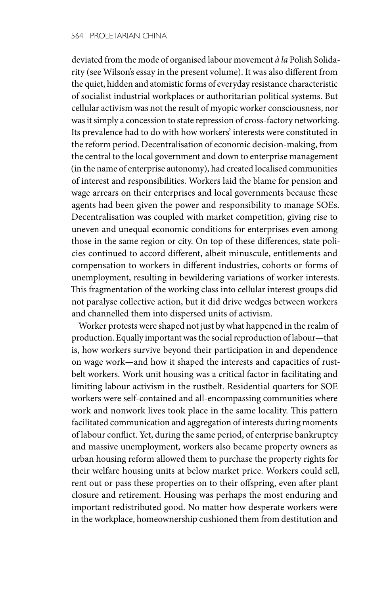deviated from the mode of organised labour movement *à la* Polish Solidarity (see Wilson's essay in the present volume). It was also different from the quiet, hidden and atomistic forms of everyday resistance characteristic of socialist industrial workplaces or authoritarian political systems. But cellular activism was not the result of myopic worker consciousness, nor was it simply a concession to state repression of cross-factory networking. Its prevalence had to do with how workers' interests were constituted in the reform period. Decentralisation of economic decision-making, from the central to the local government and down to enterprise management (in the name of enterprise autonomy), had created localised communities of interest and responsibilities. Workers laid the blame for pension and wage arrears on their enterprises and local governments because these agents had been given the power and responsibility to manage SOEs. Decentralisation was coupled with market competition, giving rise to uneven and unequal economic conditions for enterprises even among those in the same region or city. On top of these differences, state policies continued to accord different, albeit minuscule, entitlements and compensation to workers in different industries, cohorts or forms of unemployment, resulting in bewildering variations of worker interests. This fragmentation of the working class into cellular interest groups did not paralyse collective action, but it did drive wedges between workers and channelled them into dispersed units of activism.

Worker protests were shaped not just by what happened in the realm of production. Equally important was the social reproduction of labour—that is, how workers survive beyond their participation in and dependence on wage work—and how it shaped the interests and capacities of rustbelt workers. Work unit housing was a critical factor in facilitating and limiting labour activism in the rustbelt. Residential quarters for SOE workers were self-contained and all-encompassing communities where work and nonwork lives took place in the same locality. This pattern facilitated communication and aggregation of interests during moments of labour conflict. Yet, during the same period, of enterprise bankruptcy and massive unemployment, workers also became property owners as urban housing reform allowed them to purchase the property rights for their welfare housing units at below market price. Workers could sell, rent out or pass these properties on to their offspring, even after plant closure and retirement. Housing was perhaps the most enduring and important redistributed good. No matter how desperate workers were in the workplace, homeownership cushioned them from destitution and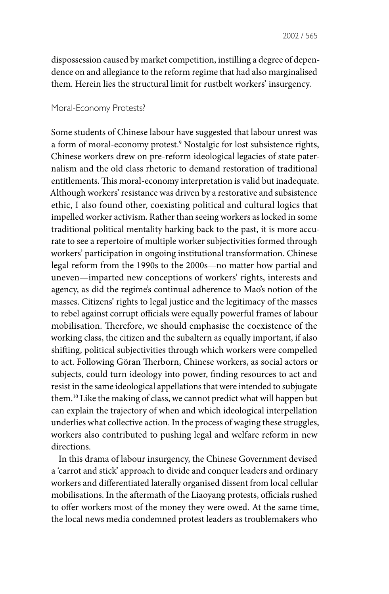dispossession caused by market competition, instilling a degree of dependence on and allegiance to the reform regime that had also marginalised them. Herein lies the structural limit for rustbelt workers' insurgency.

### Moral-Economy Protests?

Some students of Chinese labour have suggested that labour unrest was a form of moral-economy protest.9 Nostalgic for lost subsistence rights, Chinese workers drew on pre-reform ideological legacies of state paternalism and the old class rhetoric to demand restoration of traditional entitlements. This moral-economy interpretation is valid but inadequate. Although workers' resistance was driven by a restorative and subsistence ethic, I also found other, coexisting political and cultural logics that impelled worker activism. Rather than seeing workers as locked in some traditional political mentality harking back to the past, it is more accurate to see a repertoire of multiple worker subjectivities formed through workers' participation in ongoing institutional transformation. Chinese legal reform from the 1990s to the 2000s—no matter how partial and uneven—imparted new conceptions of workers' rights, interests and agency, as did the regime's continual adherence to Mao's notion of the masses. Citizens' rights to legal justice and the legitimacy of the masses to rebel against corrupt officials were equally powerful frames of labour mobilisation. Therefore, we should emphasise the coexistence of the working class, the citizen and the subaltern as equally important, if also shifting, political subjectivities through which workers were compelled to act. Following Göran Therborn, Chinese workers, as social actors or subjects, could turn ideology into power, finding resources to act and resist in the same ideological appellations that were intended to subjugate them.10 Like the making of class, we cannot predict what will happen but can explain the trajectory of when and which ideological interpellation underlies what collective action. In the process of waging these struggles, workers also contributed to pushing legal and welfare reform in new directions.

In this drama of labour insurgency, the Chinese Government devised a 'carrot and stick' approach to divide and conquer leaders and ordinary workers and differentiated laterally organised dissent from local cellular mobilisations. In the aftermath of the Liaoyang protests, officials rushed to offer workers most of the money they were owed. At the same time, the local news media condemned protest leaders as troublemakers who